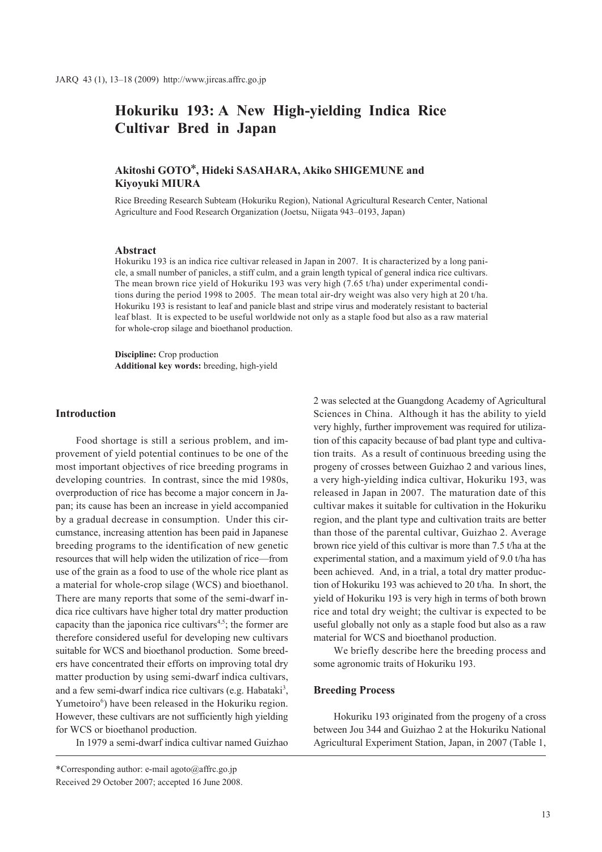# **Hokuriku 193: A New High-yielding Indica Rice Cultivar Bred in Japan**

# **Akitoshi GOTO\*, Hideki SASAHARA, Akiko SHIGEMUNE and Kiyoyuki MIURA**

Rice Breeding Research Subteam (Hokuriku Region), National Agricultural Research Center, National Agriculture and Food Research Organization (Joetsu, Niigata 943–0193, Japan)

# **Abstract**

Hokuriku 193 is an indica rice cultivar released in Japan in 2007. It is characterized by a long panicle, a small number of panicles, a stiff culm, and a grain length typical of general indica rice cultivars. The mean brown rice yield of Hokuriku 193 was very high (7.65 t/ha) under experimental conditions during the period 1998 to 2005. The mean total air-dry weight was also very high at 20 t/ha. Hokuriku 193 is resistant to leaf and panicle blast and stripe virus and moderately resistant to bacterial leaf blast. It is expected to be useful worldwide not only as a staple food but also as a raw material for whole-crop silage and bioethanol production.

**Discipline:** Crop production **Additional key words:** breeding, high-yield

## **Introduction**

Food shortage is still a serious problem, and improvement of yield potential continues to be one of the most important objectives of rice breeding programs in developing countries. In contrast, since the mid 1980s, overproduction of rice has become a major concern in Japan; its cause has been an increase in yield accompanied by a gradual decrease in consumption. Under this circumstance, increasing attention has been paid in Japanese breeding programs to the identification of new genetic resources that will help widen the utilization of rice—from use of the grain as a food to use of the whole rice plant as a material for whole-crop silage (WCS) and bioethanol. There are many reports that some of the semi-dwarf indica rice cultivars have higher total dry matter production capacity than the japonica rice cultivars<sup> $4,5$ </sup>; the former are therefore considered useful for developing new cultivars suitable for WCS and bioethanol production. Some breeders have concentrated their efforts on improving total dry matter production by using semi-dwarf indica cultivars, and a few semi-dwarf indica rice cultivars (e.g. Habataki<sup>3</sup>, Yumetoiro<sup>6</sup>) have been released in the Hokuriku region. However, these cultivars are not sufficiently high yielding for WCS or bioethanol production.

In 1979 a semi-dwarf indica cultivar named Guizhao

2 was selected at the Guangdong Academy of Agricultural Sciences in China. Although it has the ability to yield very highly, further improvement was required for utilization of this capacity because of bad plant type and cultivation traits. As a result of continuous breeding using the progeny of crosses between Guizhao 2 and various lines, a very high-yielding indica cultivar, Hokuriku 193, was released in Japan in 2007. The maturation date of this cultivar makes it suitable for cultivation in the Hokuriku region, and the plant type and cultivation traits are better than those of the parental cultivar, Guizhao 2. Average brown rice yield of this cultivar is more than 7.5 t/ha at the experimental station, and a maximum yield of 9.0 t/ha has been achieved. And, in a trial, a total dry matter production of Hokuriku 193 was achieved to 20 t/ha. In short, the yield of Hokuriku 193 is very high in terms of both brown rice and total dry weight; the cultivar is expected to be useful globally not only as a staple food but also as a raw material for WCS and bioethanol production.

We briefly describe here the breeding process and some agronomic traits of Hokuriku 193.

#### **Breeding Process**

Hokuriku 193 originated from the progeny of a cross between Jou 344 and Guizhao 2 at the Hokuriku National Agricultural Experiment Station, Japan, in 2007 (Table 1,

<sup>\*</sup>Corresponding author: e-mail agoto@affrc.go.jp Received 29 October 2007; accepted 16 June 2008.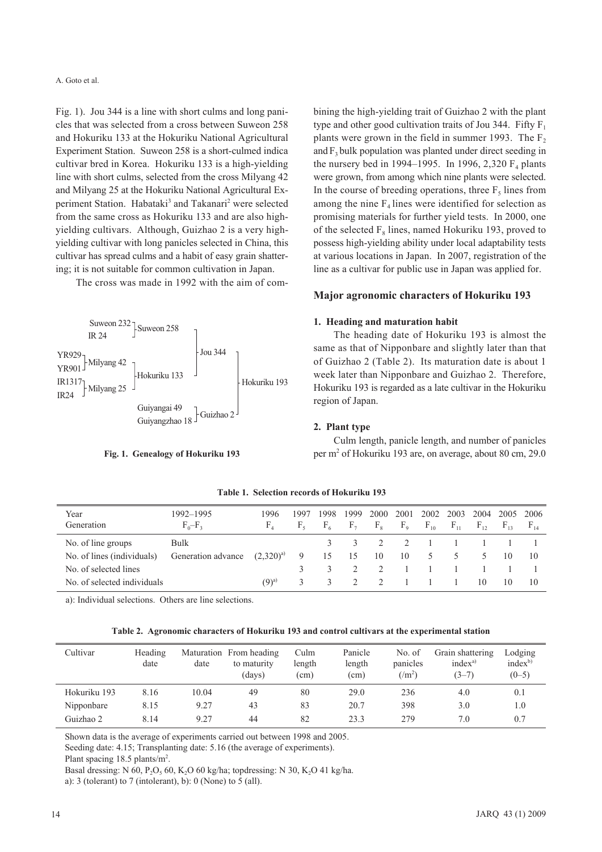A. Goto et al.

Fig. 1). Jou 344 is a line with short culms and long panicles that was selected from a cross between Suweon 258 and Hokuriku 133 at the Hokuriku National Agricultural Experiment Station. Suweon 258 is a short-culmed indica cultivar bred in Korea. Hokuriku 133 is a high-yielding line with short culms, selected from the cross Milyang 42 and Milyang 25 at the Hokuriku National Agricultural Experiment Station. Habataki<sup>3</sup> and Takanari<sup>2</sup> were selected from the same cross as Hokuriku 133 and are also highvielding cultivars. Although, Guizhao 2 is a very highyielding cultivar with long panicles selected in China, this cultivar has spread culms and a habit of easy grain shattering; it is not suitable for common cultivation in Japan.

The cross was made in 1992 with the aim of com-



Fig. 1. Genealogy of Hokuriku 193

bining the high-yielding trait of Guizhao 2 with the plant type and other good cultivation traits of Jou 344. Fifty  $F_1$ plants were grown in the field in summer 1993. The  $F_2$ and  $F_2$  bulk population was planted under direct seeding in the nursery bed in 1994–1995. In 1996, 2,320  $F<sub>4</sub>$  plants were grown, from among which nine plants were selected. In the course of breeding operations, three  $F_5$  lines from among the nine  $F_4$  lines were identified for selection as promising materials for further yield tests. In 2000, one of the selected F<sub>°</sub> lines, named Hokuriku 193, proved to possess high-yielding ability under local adaptability tests at various locations in Japan. In 2007, registration of the line as a cultivar for public use in Japan was applied for.

# Major agronomic characters of Hokuriku 193

## 1. Heading and maturation habit

The heading date of Hokuriku 193 is almost the same as that of Nipponbare and slightly later than that of Guizhao 2 (Table 2). Its maturation date is about 1 week later than Nipponbare and Guizhao 2. Therefore, Hokuriku 193 is regarded as a late cultivar in the Hokuriku region of Japan.

## 2. Plant type

Culm length, panicle length, and number of panicles per m<sup>2</sup> of Hokuriku 193 are, on average, about 80 cm, 29.0

| Year<br>Generation          | 1992–1995<br>$F_0-F_3$ | 1996<br>$F_{4}$ | 1997<br>$F_{5}$ | 1998<br>$F_{6}$ | 1999<br>$F_{7}$ | 2000<br>$F_{8}$ | 2001<br>$F_{\rm o}$ | 2002<br>$F_{10}$ | 2003<br>$F_{11}$ | 2004<br>$F_{12}$ | 2005 2006<br>$F_{13}$ | $F_{14}$ |
|-----------------------------|------------------------|-----------------|-----------------|-----------------|-----------------|-----------------|---------------------|------------------|------------------|------------------|-----------------------|----------|
| No. of line groups          | Bulk                   |                 |                 | 3               |                 |                 | 2                   | $\sim$ 1         |                  |                  |                       |          |
| No. of lines (individuals)  | Generation advance     | $(2.320)^{a}$   | -9              | 15              | 15              | 10              | 10                  | 5                | 5                | 5                | 10                    | 10       |
| No. of selected lines       |                        |                 |                 |                 |                 |                 |                     |                  |                  |                  |                       |          |
| No. of selected individuals |                        | $(9)^{a}$       | 3               |                 |                 |                 |                     |                  |                  | 10               | 10                    | 10       |

Table 1. Selection records of Hokuriku 193

a): Individual selections. Others are line selections.

Table 2. Agronomic characters of Hokuriku 193 and control cultivars at the experimental station

| Cultivar     | <b>Heading</b><br>date | date  | Maturation From heading<br>to maturity<br>(days) | Culm<br>length<br>(c <sub>m</sub> ) | Panicle<br>length<br>(cm) | No. of<br>panicles<br>$\frac{m^2}{2}$ | Grain shattering<br>$index^{a}$<br>$(3-7)$ | Lodging<br>$index^{b}$<br>$(0-5)$ |
|--------------|------------------------|-------|--------------------------------------------------|-------------------------------------|---------------------------|---------------------------------------|--------------------------------------------|-----------------------------------|
| Hokuriku 193 | 8.16                   | 10.04 | 49                                               | 80                                  | 29.0                      | 236                                   | 4.0                                        | 0.1                               |
| Nipponbare   | 8.15                   | 9.27  | 43                                               | 83                                  | 20.7                      | 398                                   | 3.0                                        | 1.0                               |
| Guizhao 2    | 8.14                   | 9.27  | 44                                               | 82                                  | 23.3                      | 279                                   | 7.0                                        | 0.7                               |

Shown data is the average of experiments carried out between 1998 and 2005.

Seeding date: 4.15; Transplanting date: 5.16 (the average of experiments).

Plant spacing  $18.5$  plants/m<sup>2</sup>.

Basal dressing: N 60, P<sub>2</sub>O<sub>5</sub> 60, K<sub>2</sub>O 60 kg/ha; topdressing: N 30, K<sub>2</sub>O 41 kg/ha.

a): 3 (tolerant) to 7 (intolerant), b): 0 (None) to 5 (all).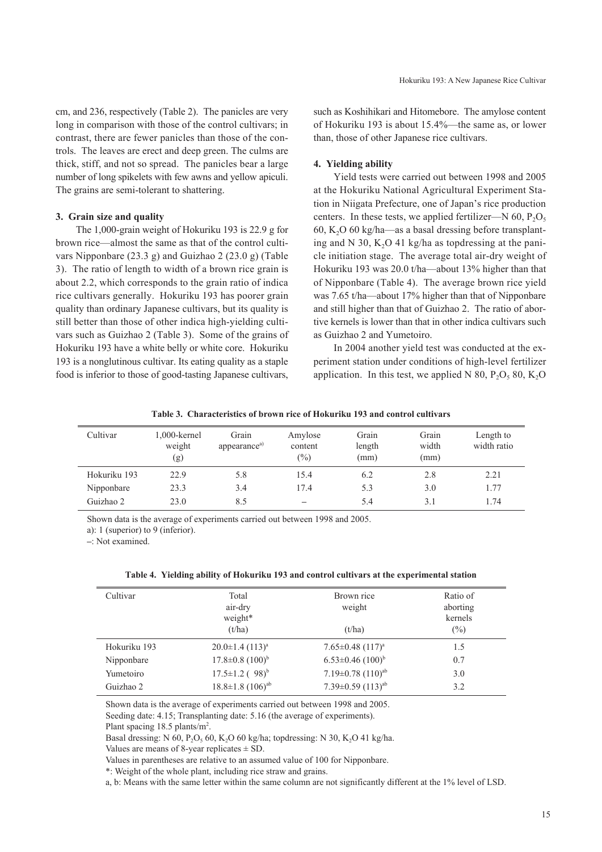cm, and 236, respectively (Table 2). The panicles are very long in comparison with those of the control cultivars; in contrast, there are fewer panicles than those of the controls. The leaves are erect and deep green. The culms are thick, stiff, and not so spread. The panicles bear a large number of long spikelets with few awns and yellow apiculi. The grains are semi-tolerant to shattering.

#### **3. Grain size and quality**

The 1,000-grain weight of Hokuriku 193 is 22.9 g for brown rice—almost the same as that of the control cultivars Nipponbare (23.3 g) and Guizhao 2 (23.0 g) (Table 3). The ratio of length to width of a brown rice grain is about 2.2, which corresponds to the grain ratio of indica rice cultivars generally. Hokuriku 193 has poorer grain quality than ordinary Japanese cultivars, but its quality is still better than those of other indica high-yielding cultivars such as Guizhao 2 (Table 3). Some of the grains of Hokuriku 193 have a white belly or white core. Hokuriku 193 is a nonglutinous cultivar. Its eating quality as a staple food is inferior to those of good-tasting Japanese cultivars,

such as Koshihikari and Hitomebore. The amylose content of Hokuriku 193 is about 15.4%—the same as, or lower than, those of other Japanese rice cultivars.

#### **4. Yielding ability**

Yield tests were carried out between 1998 and 2005 at the Hokuriku National Agricultural Experiment Station in Niigata Prefecture, one of Japan's rice production centers. In these tests, we applied fertilizer—N 60,  $P_2O_5$ 60, K<sub>2</sub>O 60 kg/ha—as a basal dressing before transplanting and N 30, K<sub>2</sub>O 41 kg/ha as topdressing at the panicle initiation stage. The average total air-dry weight of Hokuriku 193 was 20.0 t/ha—about 13% higher than that of Nipponbare (Table 4). The average brown rice yield was 7.65 t/ha—about 17% higher than that of Nipponbare and still higher than that of Guizhao 2. The ratio of abortive kernels is lower than that in other indica cultivars such as Guizhao 2 and Yumetoiro.

In 2004 another yield test was conducted at the experiment station under conditions of high-level fertilizer application. In this test, we applied N 80,  $P_2O_5$  80, K<sub>2</sub>O

> 1.5 0.7 3.0 3.2

| Table 3. Characteristics of brown rice of Hokuriku 193 and control cultivars |  |  |
|------------------------------------------------------------------------------|--|--|
|------------------------------------------------------------------------------|--|--|

| Cultivar     | $1,000$ -kernel<br>weight<br>(g) | Grain<br>appearance <sup>a)</sup> | Amylose<br>content<br>$\frac{1}{2}$ | Grain<br>length<br>(mm) | Grain<br>width<br>(mm) | Length to<br>width ratio |
|--------------|----------------------------------|-----------------------------------|-------------------------------------|-------------------------|------------------------|--------------------------|
| Hokuriku 193 | 22.9                             | 5.8                               | 15.4                                | 6.2                     | 2.8                    | 2.21                     |
| Nipponbare   | 23.3                             | 3.4                               | 17.4                                | 5.3                     | 3.0                    | 1.77                     |
| Guizhao 2    | 23.0                             | 8.5                               | $\qquad \qquad$                     | 5.4                     | 3.1                    | 1.74                     |

Shown data is the average of experiments carried out between 1998 and 2005.

a): 1 (superior) to 9 (inferior).

**–**: Not examined.

Hokuriku 193 Nipponbare Yumetoiro Guizhao 2

| Cultivar | Total   | Brown rice | Ratio of |
|----------|---------|------------|----------|
|          | air-dry | weight     | aborting |
|          | weight* |            | kernels  |
|          | (t/ha)  | (t/ha)     | (%)      |

 $7.65 \pm 0.48$   $(117)^a$  $6.53\pm0.46$   $(100)^{b}$  $7.19\pm0.78$   $(110)^{ab}$  $7.39\pm0.59$   $(113)^{ab}$ 

|  |  | Table 4. Yielding ability of Hokuriku 193 and control cultivars at the experimental station |
|--|--|---------------------------------------------------------------------------------------------|
|  |  |                                                                                             |

Shown data is the average of experiments carried out between 1998 and 2005.

Seeding date: 4.15; Transplanting date: 5.16 (the average of experiments).

 $20.0 \pm 1.4$   $(113)^a$  $17.8\pm0.8$   $(100)^{b}$  $17.5 \pm 1.2$  (  $98$ <sup>b</sup>  $18.8 \pm 1.8$   $(106)^{ab}$ 

Plant spacing 18.5 plants/m<sup>2</sup>.

Basal dressing: N  $60$ , P<sub>2</sub>O<sub>5</sub>  $60$ , K<sub>2</sub>O  $60$  kg/ha; topdressing: N  $30$ , K<sub>2</sub>O  $41$  kg/ha.

Values are means of 8-year replicates  $\pm$  SD.

Values in parentheses are relative to an assumed value of 100 for Nipponbare.

\*: Weight of the whole plant, including rice straw and grains.

a, b: Means with the same letter within the same column are not significantly different at the 1% level of LSD.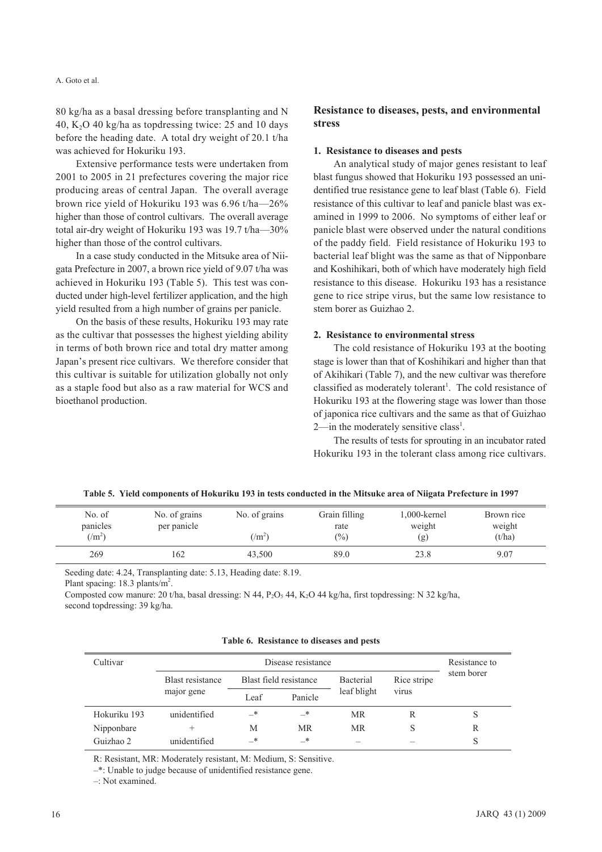#### A. Goto et al.

80 kg/ha as a basal dressing before transplanting and N 40, K<sub>2</sub>O 40 kg/ha as topdressing twice: 25 and 10 days before the heading date. A total dry weight of 20.1 t/ha was achieved for Hokuriku 193.

Extensive performance tests were undertaken from 2001 to 2005 in 21 prefectures covering the major rice producing areas of central Japan. The overall average brown rice yield of Hokuriku 193 was 6.96 t/ha—26% higher than those of control cultivars. The overall average total air-dry weight of Hokuriku 193 was 19.7 t/ha—30% higher than those of the control cultivars.

In a case study conducted in the Mitsuke area of Niigata Prefecture in 2007, a brown rice yield of 9.07 t/ha was achieved in Hokuriku 193 (Table 5). This test was conducted under high-level fertilizer application, and the high yield resulted from a high number of grains per panicle.

On the basis of these results, Hokuriku 193 may rate as the cultivar that possesses the highest yielding ability in terms of both brown rice and total dry matter among Japan's present rice cultivars. We therefore consider that this cultivar is suitable for utilization globally not only as a staple food but also as a raw material for WCS and bioethanol production.

# **Resistance to diseases, pests, and environmental stress**

# **1. Resistance to diseases and pests**

An analytical study of major genes resistant to leaf blast fungus showed that Hokuriku 193 possessed an unidentified true resistance gene to leaf blast (Table 6). Field resistance of this cultivar to leaf and panicle blast was examined in 1999 to 2006. No symptoms of either leaf or panicle blast were observed under the natural conditions of the paddy field. Field resistance of Hokuriku 193 to bacterial leaf blight was the same as that of Nipponbare and Koshihikari, both of which have moderately high field resistance to this disease. Hokuriku 193 has a resistance gene to rice stripe virus, but the same low resistance to stem borer as Guizhao 2.

## **2. Resistance to environmental stress**

The cold resistance of Hokuriku 193 at the booting stage is lower than that of Koshihikari and higher than that of Akihikari (Table 7), and the new cultivar was therefore classified as moderately tolerant<sup>1</sup>. The cold resistance of Hokuriku 193 at the flowering stage was lower than those of japonica rice cultivars and the same as that of Guizhao  $2$ —in the moderately sensitive class<sup>1</sup>.

The results of tests for sprouting in an incubator rated Hokuriku 193 in the tolerant class among rice cultivars.

|  |  |  | Table 5. Yield components of Hokuriku 193 in tests conducted in the Mitsuke area of Niigata Prefecture in 1997 |
|--|--|--|----------------------------------------------------------------------------------------------------------------|
|--|--|--|----------------------------------------------------------------------------------------------------------------|

| No. of<br>panicles<br>$(\rm/m^2)$ | No. of grains<br>per panicle | No. of grains<br>$(\rm/m^2)$ | Grain filling<br>rate<br>$\frac{(0)}{0}$ | 1,000-kernel<br>weight<br>(g) | Brown rice<br>weight<br>(t/ha) |
|-----------------------------------|------------------------------|------------------------------|------------------------------------------|-------------------------------|--------------------------------|
| 269                               | 162                          | 43.500                       | 89.0                                     | 23.8                          | 9.07                           |

Seeding date: 4.24, Transplanting date: 5.13, Heading date: 8.19.

Plant spacing:  $18.3$  plants/m<sup>2</sup>.

Composted cow manure: 20 t/ha, basal dressing: N 44, P<sub>2</sub>O<sub>5</sub> 44, K<sub>2</sub>O 44 kg/ha, first topdressing: N 32 kg/ha, second topdressing: 39 kg/ha.

|  | Table 6. Resistance to diseases and pests |  |  |  |  |
|--|-------------------------------------------|--|--|--|--|
|--|-------------------------------------------|--|--|--|--|

|                         | Resistance to |           |                        |                                   |            |
|-------------------------|---------------|-----------|------------------------|-----------------------------------|------------|
| <b>Blast resistance</b> |               |           | Bacterial              | Rice stripe                       | stem borer |
| major gene              | Leaf          | Panicle   |                        | virus                             |            |
| unidentified            | —*            | $-^*$     | MR                     | R                                 | S          |
| $\pm$                   | M             | <b>MR</b> | <b>MR</b>              | S                                 | R          |
| unidentified            | —*            | _*        |                        |                                   | S          |
|                         |               |           | Blast field resistance | Disease resistance<br>leaf blight |            |

R: Resistant, MR: Moderately resistant, M: Medium, S: Sensitive.

–\*: Unable to judge because of unidentified resistance gene.

–: Not examined.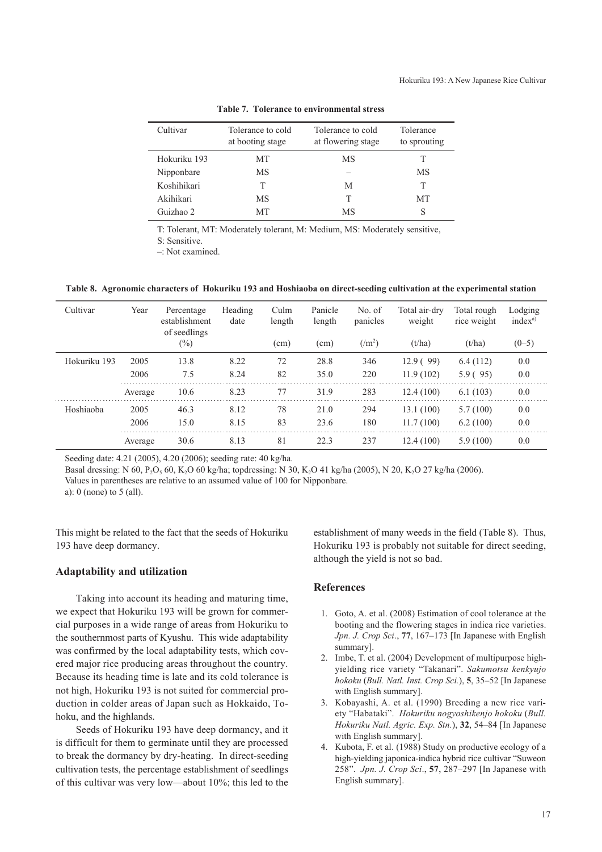| Cultivar     | Tolerance to cold<br>at booting stage | Tolerance to cold<br>at flowering stage | Tolerance<br>to sprouting |
|--------------|---------------------------------------|-----------------------------------------|---------------------------|
| Hokuriku 193 | МT                                    | MS                                      |                           |
| Nipponbare   | МS                                    |                                         | МS                        |
| Koshihikari  |                                       | М                                       | т                         |
| Akihikari    | МS                                    | T                                       | MТ                        |
| Guizhao 2    | MТ                                    | МS                                      | S                         |

**Table 7. Tolerance to environmental stress**

T: Tolerant, MT: Moderately tolerant, M: Medium, MS: Moderately sensitive,

S: Sensitive.

–: Not examined.

**Table 8. Agronomic characters of Hokuriku 193 and Hoshiaoba on direct-seeding cultivation at the experimental station**

| Cultivar     | Year    | Percentage<br>establishment<br>of seedlings | Heading<br>date | Culm<br>length | Panicle<br>length | No. of<br>panicles | Total air-dry<br>weight | Total rough<br>rice weight | Lodging<br>index <sup>a)</sup> |
|--------------|---------|---------------------------------------------|-----------------|----------------|-------------------|--------------------|-------------------------|----------------------------|--------------------------------|
|              |         | $(\%)$                                      |                 | (cm)           | (cm)              | $(/m^2)$           | (t/ha)                  | (t/ha)                     | $(0-5)$                        |
| Hokuriku 193 | 2005    | 13.8                                        | 8.22            | 72             | 28.8              | 346                | 12.9(99)                | 6.4(112)                   | 0.0                            |
|              | 2006    | 7.5                                         | 8.24            | 82             | 35.0              | 220                | 11.9(102)               | 5.9(95)                    | 0.0                            |
|              | Average | 10.6                                        | 8.23            | 77             | 31.9              | 283                | 12.4(100)               | 6.1(103)                   | 0.0                            |
| Hoshiaoba    | 2005    | 46.3                                        | 8.12            | 78             | 21.0              | 294                | 13.1(100)               | 5.7(100)                   | 0.0                            |
|              | 2006    | 15.0                                        | 8.15            | 83             | 23.6              | 180                | 11.7(100)               | 6.2(100)                   | 0.0                            |
|              | Average | 30.6                                        | 8.13            | 81             | 22.3              | 237                | 12.4(100)               | 5.9(100)                   | 0.0                            |

Seeding date: 4.21 (2005), 4.20 (2006); seeding rate: 40 kg/ha.

Basal dressing: N 60, P<sub>2</sub>O<sub>5</sub> 60, K<sub>2</sub>O 60 kg/ha; topdressing: N 30, K<sub>2</sub>O 41 kg/ha (2005), N 20, K<sub>2</sub>O 27 kg/ha (2006).

Values in parentheses are relative to an assumed value of 100 for Nipponbare.

a): 0 (none) to 5 (all).

This might be related to the fact that the seeds of Hokuriku 193 have deep dormancy.

## **Adaptability and utilization**

Taking into account its heading and maturing time, we expect that Hokuriku 193 will be grown for commercial purposes in a wide range of areas from Hokuriku to the southernmost parts of Kyushu. This wide adaptability was confirmed by the local adaptability tests, which covered major rice producing areas throughout the country. Because its heading time is late and its cold tolerance is not high, Hokuriku 193 is not suited for commercial production in colder areas of Japan such as Hokkaido, Tohoku, and the highlands.

Seeds of Hokuriku 193 have deep dormancy, and it is difficult for them to germinate until they are processed to break the dormancy by dry-heating. In direct-seeding cultivation tests, the percentage establishment of seedlings of this cultivar was very low—about 10%; this led to the

establishment of many weeds in the field (Table 8). Thus, Hokuriku 193 is probably not suitable for direct seeding, although the yield is not so bad.

#### **References**

- 1. Goto, A. et al. (2008) Estimation of cool tolerance at the booting and the flowering stages in indica rice varieties. *Jpn. J. Crop Sci*., **77**, 167–173 [In Japanese with English summary].
- 2. Imbe, T. et al. (2004) Development of multipurpose highyielding rice variety "Takanari". *Sakumotsu kenkyujo hokoku* (*Bull. Natl. Inst. Crop Sci.*), **5**, 35–52 [In Japanese with English summary].
- 3. Kobayashi, A. et al. (1990) Breeding a new rice variety "Habataki". *Hokuriku nogyoshikenjo hokoku* (*Bull. Hokuriku Natl. Agric. Exp. Stn.*), **32**, 54–84 [In Japanese with English summary].
- 4. Kubota, F. et al. (1988) Study on productive ecology of a high-yielding japonica-indica hybrid rice cultivar "Suweon 258". *Jpn. J. Crop Sci*., **57**, 287–297 [In Japanese with English summary].